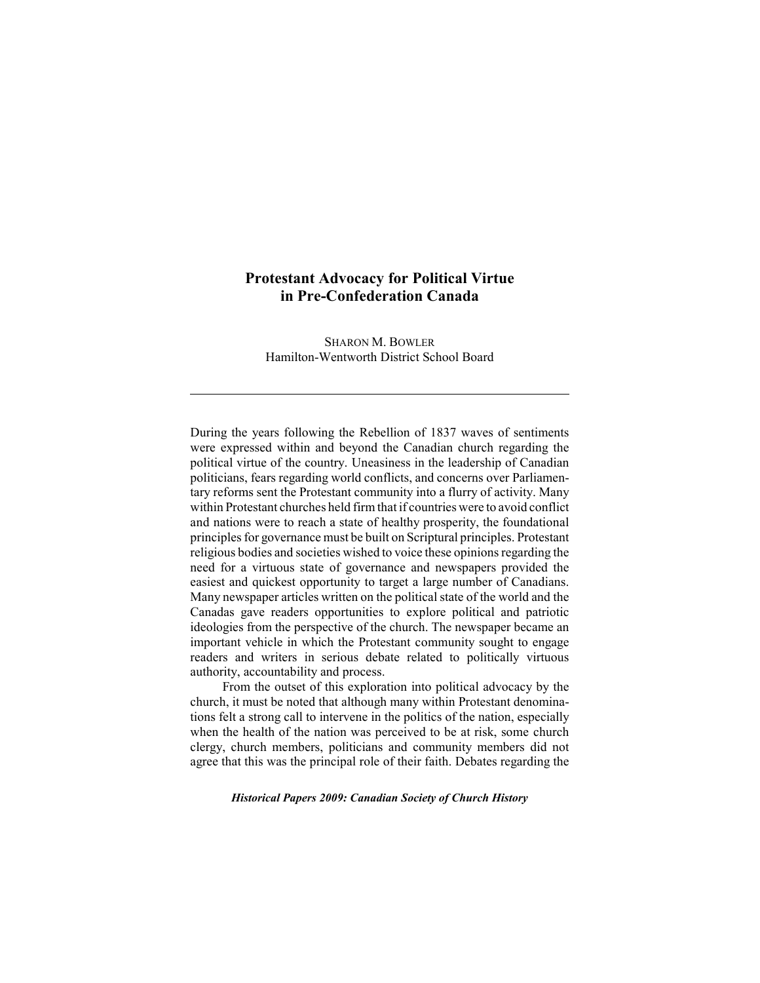## **Protestant Advocacy for Political Virtue in Pre-Confederation Canada**

SHARON M. BOWLER Hamilton-Wentworth District School Board

During the years following the Rebellion of 1837 waves of sentiments were expressed within and beyond the Canadian church regarding the political virtue of the country. Uneasiness in the leadership of Canadian politicians, fears regarding world conflicts, and concerns over Parliamentary reforms sent the Protestant community into a flurry of activity. Many within Protestant churches held firm that if countries were to avoid conflict and nations were to reach a state of healthy prosperity, the foundational principles for governance must be built on Scriptural principles. Protestant religious bodies and societies wished to voice these opinions regarding the need for a virtuous state of governance and newspapers provided the easiest and quickest opportunity to target a large number of Canadians. Many newspaper articles written on the political state of the world and the Canadas gave readers opportunities to explore political and patriotic ideologies from the perspective of the church. The newspaper became an important vehicle in which the Protestant community sought to engage readers and writers in serious debate related to politically virtuous authority, accountability and process.

From the outset of this exploration into political advocacy by the church, it must be noted that although many within Protestant denominations felt a strong call to intervene in the politics of the nation, especially when the health of the nation was perceived to be at risk, some church clergy, church members, politicians and community members did not agree that this was the principal role of their faith. Debates regarding the

*Historical Papers 2009: Canadian Society of Church History*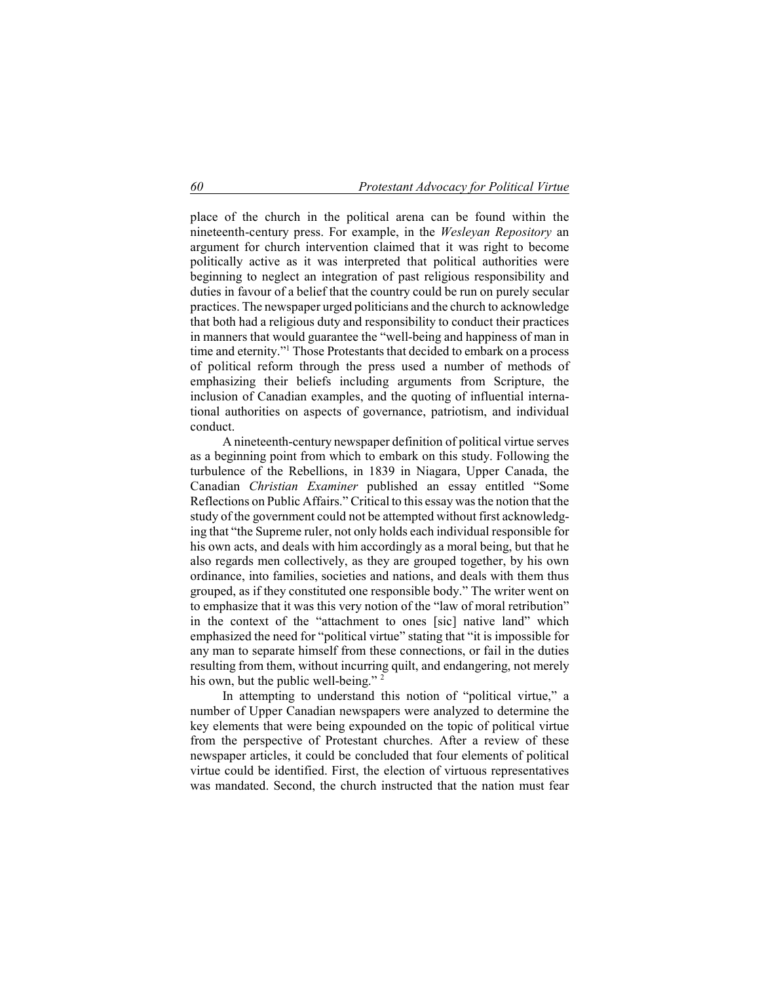place of the church in the political arena can be found within the nineteenth-century press. For example, in the *Wesleyan Repository* an argument for church intervention claimed that it was right to become politically active as it was interpreted that political authorities were beginning to neglect an integration of past religious responsibility and duties in favour of a belief that the country could be run on purely secular practices. The newspaper urged politicians and the church to acknowledge that both had a religious duty and responsibility to conduct their practices in manners that would guarantee the "well-being and happiness of man in time and eternity."<sup>1</sup> Those Protestants that decided to embark on a process of political reform through the press used a number of methods of emphasizing their beliefs including arguments from Scripture, the inclusion of Canadian examples, and the quoting of influential international authorities on aspects of governance, patriotism, and individual conduct.

A nineteenth-century newspaper definition of political virtue serves as a beginning point from which to embark on this study. Following the turbulence of the Rebellions, in 1839 in Niagara, Upper Canada, the Canadian *Christian Examiner* published an essay entitled "Some Reflections on Public Affairs." Critical to this essay was the notion that the study of the government could not be attempted without first acknowledging that "the Supreme ruler, not only holds each individual responsible for his own acts, and deals with him accordingly as a moral being, but that he also regards men collectively, as they are grouped together, by his own ordinance, into families, societies and nations, and deals with them thus grouped, as if they constituted one responsible body." The writer went on to emphasize that it was this very notion of the "law of moral retribution" in the context of the "attachment to ones [sic] native land" which emphasized the need for "political virtue" stating that "it is impossible for any man to separate himself from these connections, or fail in the duties resulting from them, without incurring quilt, and endangering, not merely his own, but the public well-being."<sup>2</sup>

In attempting to understand this notion of "political virtue," a number of Upper Canadian newspapers were analyzed to determine the key elements that were being expounded on the topic of political virtue from the perspective of Protestant churches. After a review of these newspaper articles, it could be concluded that four elements of political virtue could be identified. First, the election of virtuous representatives was mandated. Second, the church instructed that the nation must fear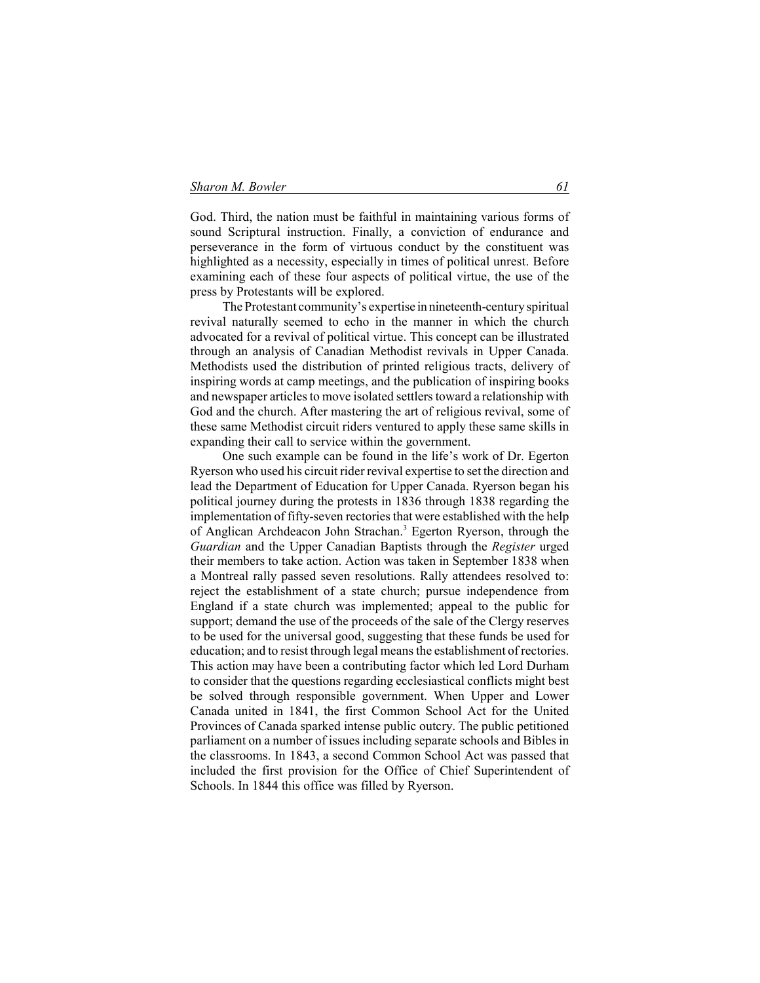God. Third, the nation must be faithful in maintaining various forms of sound Scriptural instruction. Finally, a conviction of endurance and perseverance in the form of virtuous conduct by the constituent was highlighted as a necessity, especially in times of political unrest. Before examining each of these four aspects of political virtue, the use of the press by Protestants will be explored.

The Protestant community's expertise in nineteenth-century spiritual revival naturally seemed to echo in the manner in which the church advocated for a revival of political virtue. This concept can be illustrated through an analysis of Canadian Methodist revivals in Upper Canada. Methodists used the distribution of printed religious tracts, delivery of inspiring words at camp meetings, and the publication of inspiring books and newspaper articles to move isolated settlers toward a relationship with God and the church. After mastering the art of religious revival, some of these same Methodist circuit riders ventured to apply these same skills in expanding their call to service within the government.

One such example can be found in the life's work of Dr. Egerton Ryerson who used his circuit rider revival expertise to set the direction and lead the Department of Education for Upper Canada. Ryerson began his political journey during the protests in 1836 through 1838 regarding the implementation of fifty-seven rectories that were established with the help of Anglican Archdeacon John Strachan.<sup>3</sup> Egerton Ryerson, through the *Guardian* and the Upper Canadian Baptists through the *Register* urged their members to take action. Action was taken in September 1838 when a Montreal rally passed seven resolutions. Rally attendees resolved to: reject the establishment of a state church; pursue independence from England if a state church was implemented; appeal to the public for support; demand the use of the proceeds of the sale of the Clergy reserves to be used for the universal good, suggesting that these funds be used for education; and to resist through legal means the establishment of rectories. This action may have been a contributing factor which led Lord Durham to consider that the questions regarding ecclesiastical conflicts might best be solved through responsible government. When Upper and Lower Canada united in 1841, the first Common School Act for the United Provinces of Canada sparked intense public outcry. The public petitioned parliament on a number of issues including separate schools and Bibles in the classrooms. In 1843, a second Common School Act was passed that included the first provision for the Office of Chief Superintendent of Schools. In 1844 this office was filled by Ryerson.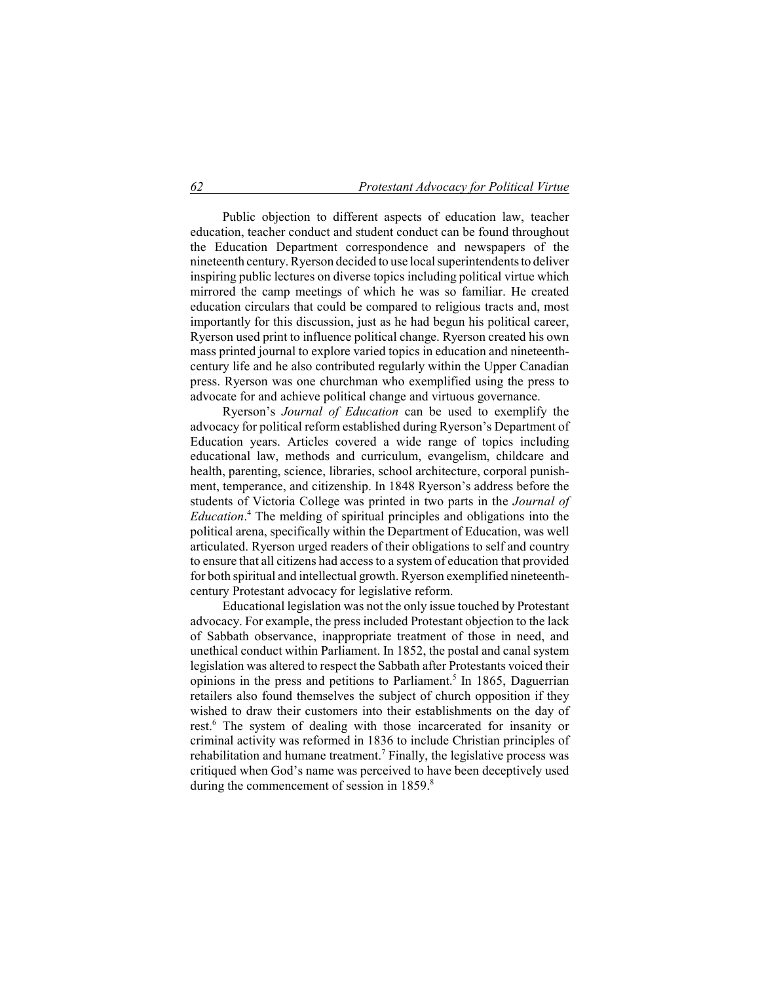Public objection to different aspects of education law, teacher education, teacher conduct and student conduct can be found throughout the Education Department correspondence and newspapers of the nineteenth century. Ryerson decided to use local superintendents to deliver inspiring public lectures on diverse topics including political virtue which mirrored the camp meetings of which he was so familiar. He created education circulars that could be compared to religious tracts and, most importantly for this discussion, just as he had begun his political career, Ryerson used print to influence political change. Ryerson created his own mass printed journal to explore varied topics in education and nineteenthcentury life and he also contributed regularly within the Upper Canadian press. Ryerson was one churchman who exemplified using the press to advocate for and achieve political change and virtuous governance.

Ryerson's *Journal of Education* can be used to exemplify the advocacy for political reform established during Ryerson's Department of Education years. Articles covered a wide range of topics including educational law, methods and curriculum, evangelism, childcare and health, parenting, science, libraries, school architecture, corporal punishment, temperance, and citizenship. In 1848 Ryerson's address before the students of Victoria College was printed in two parts in the *Journal of Education*. 4 The melding of spiritual principles and obligations into the political arena, specifically within the Department of Education, was well articulated. Ryerson urged readers of their obligations to self and country to ensure that all citizens had access to a system of education that provided for both spiritual and intellectual growth. Ryerson exemplified nineteenthcentury Protestant advocacy for legislative reform.

Educational legislation was not the only issue touched by Protestant advocacy. For example, the press included Protestant objection to the lack of Sabbath observance, inappropriate treatment of those in need, and unethical conduct within Parliament. In 1852, the postal and canal system legislation was altered to respect the Sabbath after Protestants voiced their opinions in the press and petitions to Parliament.<sup>5</sup> In 1865, Daguerrian retailers also found themselves the subject of church opposition if they wished to draw their customers into their establishments on the day of rest.<sup>6</sup> The system of dealing with those incarcerated for insanity or criminal activity was reformed in 1836 to include Christian principles of rehabilitation and humane treatment.<sup>7</sup> Finally, the legislative process was critiqued when God's name was perceived to have been deceptively used during the commencement of session in 1859.<sup>8</sup>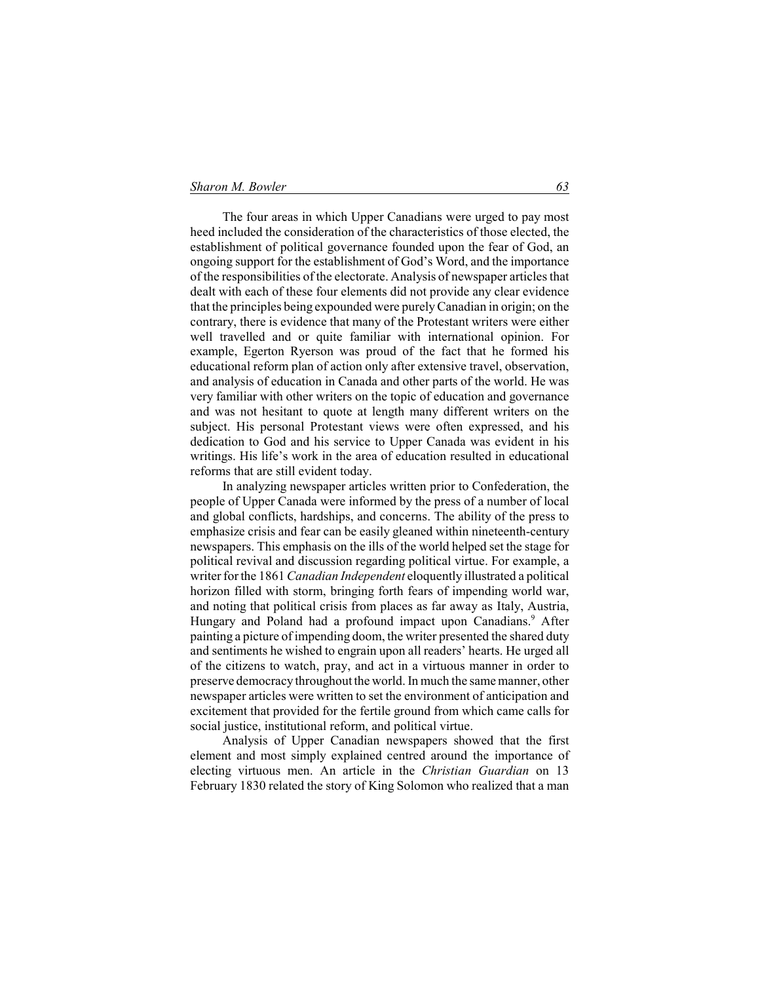The four areas in which Upper Canadians were urged to pay most heed included the consideration of the characteristics of those elected, the establishment of political governance founded upon the fear of God, an ongoing support for the establishment of God's Word, and the importance of the responsibilities of the electorate. Analysis of newspaper articles that dealt with each of these four elements did not provide any clear evidence that the principles being expounded were purely Canadian in origin; on the contrary, there is evidence that many of the Protestant writers were either well travelled and or quite familiar with international opinion. For example, Egerton Ryerson was proud of the fact that he formed his educational reform plan of action only after extensive travel, observation, and analysis of education in Canada and other parts of the world. He was very familiar with other writers on the topic of education and governance and was not hesitant to quote at length many different writers on the subject. His personal Protestant views were often expressed, and his dedication to God and his service to Upper Canada was evident in his writings. His life's work in the area of education resulted in educational reforms that are still evident today.

In analyzing newspaper articles written prior to Confederation, the people of Upper Canada were informed by the press of a number of local and global conflicts, hardships, and concerns. The ability of the press to emphasize crisis and fear can be easily gleaned within nineteenth-century newspapers. This emphasis on the ills of the world helped set the stage for political revival and discussion regarding political virtue. For example, a writer for the 1861 *Canadian Independent* eloquently illustrated a political horizon filled with storm, bringing forth fears of impending world war, and noting that political crisis from places as far away as Italy, Austria, Hungary and Poland had a profound impact upon Canadians.<sup>9</sup> After painting a picture of impending doom, the writer presented the shared duty and sentiments he wished to engrain upon all readers' hearts. He urged all of the citizens to watch, pray, and act in a virtuous manner in order to preserve democracy throughout the world. In much the same manner, other newspaper articles were written to set the environment of anticipation and excitement that provided for the fertile ground from which came calls for social justice, institutional reform, and political virtue.

Analysis of Upper Canadian newspapers showed that the first element and most simply explained centred around the importance of electing virtuous men. An article in the *Christian Guardian* on 13 February 1830 related the story of King Solomon who realized that a man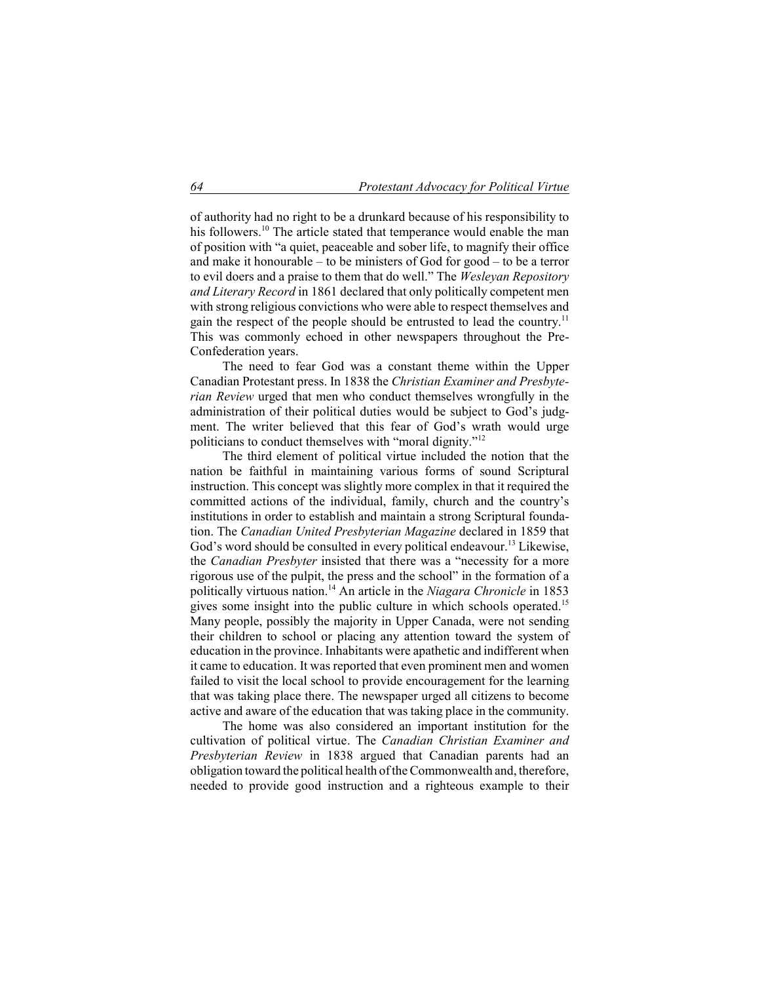of authority had no right to be a drunkard because of his responsibility to his followers.<sup>10</sup> The article stated that temperance would enable the man of position with "a quiet, peaceable and sober life, to magnify their office and make it honourable – to be ministers of God for good – to be a terror to evil doers and a praise to them that do well." The *Wesleyan Repository and Literary Record* in 1861 declared that only politically competent men with strong religious convictions who were able to respect themselves and gain the respect of the people should be entrusted to lead the country.<sup>11</sup> This was commonly echoed in other newspapers throughout the Pre-Confederation years.

The need to fear God was a constant theme within the Upper Canadian Protestant press. In 1838 the *Christian Examiner and Presbyterian Review* urged that men who conduct themselves wrongfully in the administration of their political duties would be subject to God's judgment. The writer believed that this fear of God's wrath would urge politicians to conduct themselves with "moral dignity."<sup>12</sup>

The third element of political virtue included the notion that the nation be faithful in maintaining various forms of sound Scriptural instruction. This concept was slightly more complex in that it required the committed actions of the individual, family, church and the country's institutions in order to establish and maintain a strong Scriptural foundation. The *Canadian United Presbyterian Magazine* declared in 1859 that God's word should be consulted in every political endeavour.<sup>13</sup> Likewise, the *Canadian Presbyter* insisted that there was a "necessity for a more rigorous use of the pulpit, the press and the school" in the formation of a politically virtuous nation.<sup>14</sup> An article in the *Niagara Chronicle* in 1853 gives some insight into the public culture in which schools operated.<sup>15</sup> Many people, possibly the majority in Upper Canada, were not sending their children to school or placing any attention toward the system of education in the province. Inhabitants were apathetic and indifferent when it came to education. It was reported that even prominent men and women failed to visit the local school to provide encouragement for the learning that was taking place there. The newspaper urged all citizens to become active and aware of the education that was taking place in the community.

The home was also considered an important institution for the cultivation of political virtue. The *Canadian Christian Examiner and Presbyterian Review* in 1838 argued that Canadian parents had an obligation toward the political health of the Commonwealth and, therefore, needed to provide good instruction and a righteous example to their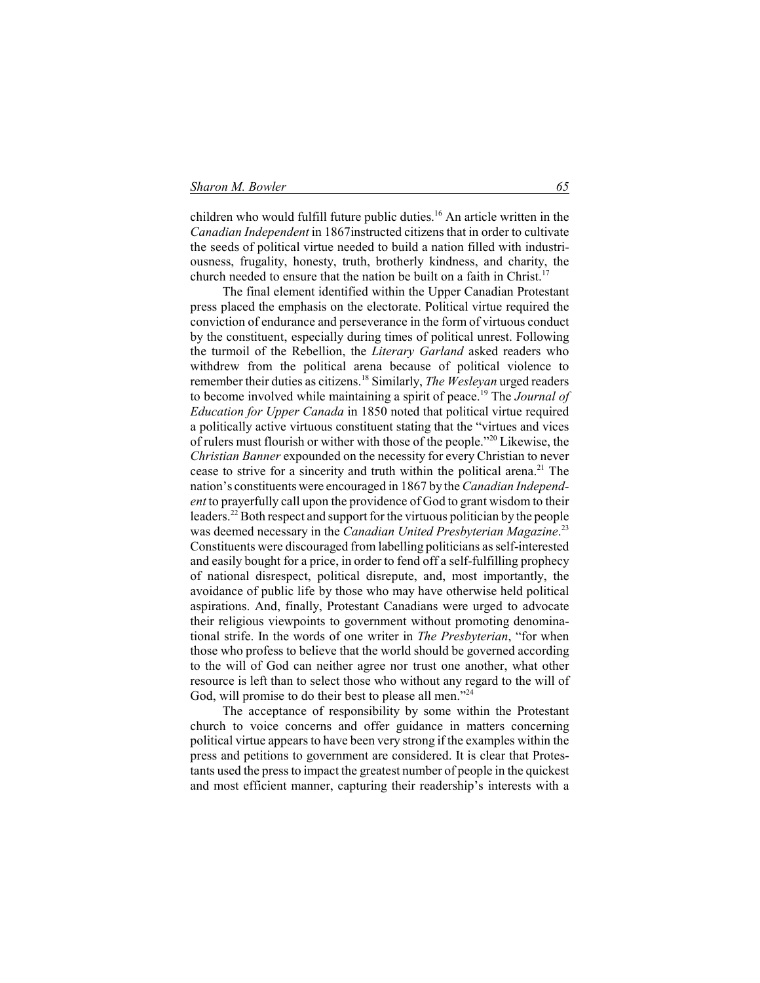children who would fulfill future public duties.<sup>16</sup> An article written in the *Canadian Independent* in 1867instructed citizens that in order to cultivate the seeds of political virtue needed to build a nation filled with industriousness, frugality, honesty, truth, brotherly kindness, and charity, the church needed to ensure that the nation be built on a faith in Christ.<sup>1</sup>

The final element identified within the Upper Canadian Protestant press placed the emphasis on the electorate. Political virtue required the conviction of endurance and perseverance in the form of virtuous conduct by the constituent, especially during times of political unrest. Following the turmoil of the Rebellion, the *Literary Garland* asked readers who withdrew from the political arena because of political violence to remember their duties as citizens.<sup>18</sup> Similarly, *The Wesleyan* urged readers to become involved while maintaining a spirit of peace.<sup>19</sup> The *Journal of Education for Upper Canada* in 1850 noted that political virtue required a politically active virtuous constituent stating that the "virtues and vices of rulers must flourish or wither with those of the people."<sup>20</sup> Likewise, the *Christian Banner* expounded on the necessity for every Christian to never cease to strive for a sincerity and truth within the political arena.<sup>21</sup> The nation's constituents were encouraged in 1867 by the *Canadian Independent* to prayerfully call upon the providence of God to grant wisdom to their leaders.<sup>22</sup> Both respect and support for the virtuous politician by the people was deemed necessary in the *Canadian United Presbyterian Magazine*. 23 Constituents were discouraged from labelling politicians as self-interested and easily bought for a price, in order to fend off a self-fulfilling prophecy of national disrespect, political disrepute, and, most importantly, the avoidance of public life by those who may have otherwise held political aspirations. And, finally, Protestant Canadians were urged to advocate their religious viewpoints to government without promoting denominational strife. In the words of one writer in *The Presbyterian*, "for when those who profess to believe that the world should be governed according to the will of God can neither agree nor trust one another, what other resource is left than to select those who without any regard to the will of God, will promise to do their best to please all men."<sup>24</sup>

The acceptance of responsibility by some within the Protestant church to voice concerns and offer guidance in matters concerning political virtue appears to have been very strong if the examples within the press and petitions to government are considered. It is clear that Protestants used the press to impact the greatest number of people in the quickest and most efficient manner, capturing their readership's interests with a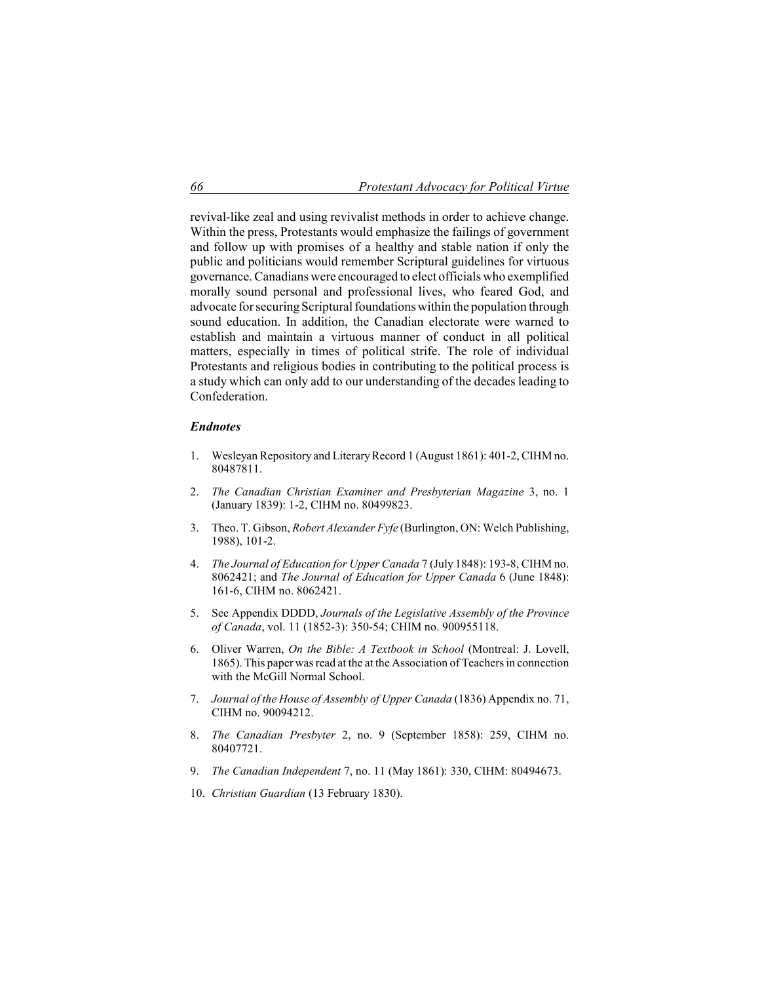revival-like zeal and using revivalist methods in order to achieve change. Within the press, Protestants would emphasize the failings of government and follow up with promises of a healthy and stable nation if only the public and politicians would remember Scriptural guidelines for virtuous governance. Canadians were encouraged to elect officials who exemplified morally sound personal and professional lives, who feared God, and advocate for securing Scriptural foundations within the population through sound education. In addition, the Canadian electorate were warned to establish and maintain a virtuous manner of conduct in all political matters, especially in times of political strife. The role of individual Protestants and religious bodies in contributing to the political process is a study which can only add to our understanding of the decades leading to Confederation.

## *Endnotes*

- 1. Wesleyan Repository and Literary Record 1 (August 1861): 401-2, CIHM no. 80487811.
- 2. *The Canadian Christian Examiner and Presbyterian Magazine* 3, no. 1 (January 1839): 1-2, CIHM no. 80499823.
- 3. Theo. T. Gibson, *Robert Alexander Fyfe* (Burlington, ON: Welch Publishing, 1988), 101-2.
- 4. *The Journal of Education for Upper Canada* 7 (July 1848): 193-8, CIHM no. 8062421; and *The Journal of Education for Upper Canada* 6 (June 1848): 161-6, CIHM no. 8062421.
- 5. See Appendix DDDD, *Journals of the Legislative Assembly of the Province of Canada*, vol. 11 (1852-3): 350-54; CHIM no. 900955118.
- 6. Oliver Warren, *On the Bible: A Textbook in School* (Montreal: J. Lovell, 1865). This paper was read at the at the Association of Teachers in connection with the McGill Normal School.
- 7. *Journal of the House of Assembly of Upper Canada* (1836) Appendix no. 71, CIHM no. 90094212.
- 8. *The Canadian Presbyter* 2, no. 9 (September 1858): 259, CIHM no. 80407721.
- 9. *The Canadian Independent* 7, no. 11 (May 1861): 330, CIHM: 80494673.
- 10. *Christian Guardian* (13 February 1830).